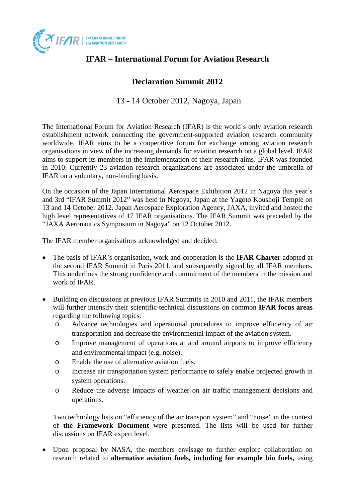

## **IFAR – International Forum for Aviation Research**

## **Declaration Summit 2012**

## 13 - 14 October 2012, Nagoya, Japan

The International Forum for Aviation Research (IFAR) is the world´s only aviation research establishment network connecting the government-supported aviation research community worldwide. IFAR aims to be a cooperative forum for exchange among aviation research organisations in view of the increasing demands for aviation research on a global level. IFAR aims to support its members in the implementation of their research aims. IFAR was founded in 2010. Currently 23 aviation research organizations are associated under the umbrella of IFAR on a voluntary, non-binding basis.

On the occasion of the Japan International Aerospace Exhibition 2012 in Nagoya this year´s and 3rd "IFAR Summit 2012" was held in Nagoya, Japan at the Yagoto Koushoji Temple on 13 and 14 October 2012. [Japan Aerospace Exploration Agency,](http://www.jaxa.jp/index_e.html) JAXA, invited and hosted the high level representatives of 17 IFAR organisations. The IFAR Summit was preceded by the "JAXA Aeronautics Symposium in Nagoya" on 12 October 2012.

The IFAR member organisations acknowledged and decided:

- The basis of IFAR`s organisation, work and cooperation is the **IFAR Charter** adopted at the second IFAR Summit in Paris 2011, and subsequently signed by all IFAR members. This underlines the strong confidence and commitment of the members in the mission and work of IFAR.
- Building on discussions at previous IFAR Summits in 2010 and 2011, the IFAR members will further intensify their scientific-technical discussions on common **IFAR focus areas** regarding the following topics:
	- o Advance technologies and operational procedures to improve efficiency of air transportation and decrease the environmental impact of the aviation system.
	- o Improve management of operations at and around airports to improve efficiency and environmental impact (e.g. noise).
	- o Enable the use of alternative aviation fuels.
	- o Increase air transportation system performance to safely enable projected growth in system operations.
	- o Reduce the adverse impacts of weather on air traffic management decisions and operations.

Two technology lists on "efficiency of the air transport system" and "noise" in the context of **the Framework Document** were presented. The lists will be used for further discussions on IFAR expert level.

• Upon proposal by NASA, the members envisage to further explore collaboration on research related to **alternative aviation fuels, including for example bio fuels,** using